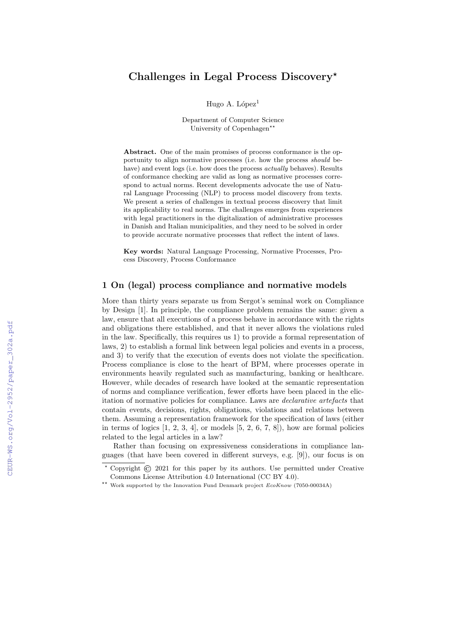# Challenges in Legal Process Discovery<sup>\*</sup>

Hugo A. López $<sup>1</sup>$ </sup>

Department of Computer Science University of Copenhagen<sup>★★</sup>

Abstract. One of the main promises of process conformance is the opportunity to align normative processes (i.e. how the process should behave) and event logs (i.e. how does the process *actually* behaves). Results of conformance checking are valid as long as normative processes correspond to actual norms. Recent developments advocate the use of Natural Language Processing (NLP) to process model discovery from texts. We present a series of challenges in textual process discovery that limit its applicability to real norms. The challenges emerges from experiences with legal practitioners in the digitalization of administrative processes in Danish and Italian municipalities, and they need to be solved in order to provide accurate normative processes that reflect the intent of laws.

Key words: Natural Language Processing, Normative Processes, Process Discovery, Process Conformance

## 1 On (legal) process compliance and normative models

More than thirty years separate us from Sergot's seminal work on Compliance by Design [1]. In principle, the compliance problem remains the same: given a law, ensure that all executions of a process behave in accordance with the rights and obligations there established, and that it never allows the violations ruled in the law. Specifically, this requires us 1) to provide a formal representation of laws, 2) to establish a formal link between legal policies and events in a process, and 3) to verify that the execution of events does not violate the specification. Process compliance is close to the heart of BPM, where processes operate in environments heavily regulated such as manufacturing, banking or healthcare. However, while decades of research have looked at the semantic representation of norms and compliance verification, fewer efforts have been placed in the elicitation of normative policies for compliance. Laws are *declarative artefacts* that contain events, decisions, rights, obligations, violations and relations between them. Assuming a representation framework for the specification of laws (either in terms of logics  $[1, 2, 3, 4]$ , or models  $[5, 2, 6, 7, 8]$ , how are formal policies related to the legal articles in a law?

Rather than focusing on expressiveness considerations in compliance languages (that have been covered in different surveys, e.g. [9]), our focus is on

Copyright  $\odot$  2021 for this paper by its authors. Use permitted under Creative Commons License Attribution 4.0 International (CC BY 4.0).

<sup>&</sup>lt;sup>\*\*</sup> Work supported by the Innovation Fund Denmark project  $EcoKnow (7050-00034A)$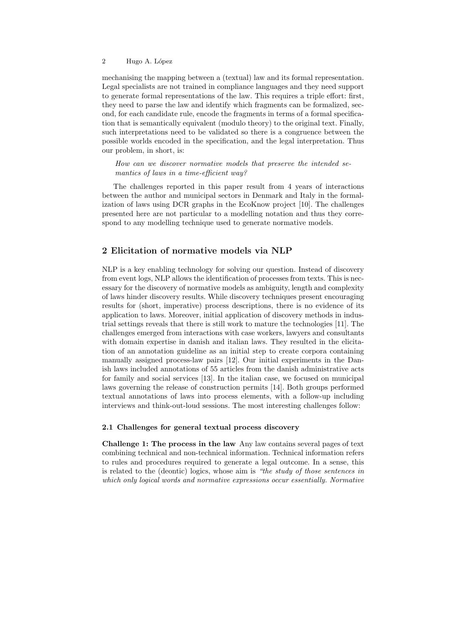#### 2 Hugo A. López

mechanising the mapping between a (textual) law and its formal representation. Legal specialists are not trained in compliance languages and they need support to generate formal representations of the law. This requires a triple effort: first, they need to parse the law and identify which fragments can be formalized, second, for each candidate rule, encode the fragments in terms of a formal specification that is semantically equivalent (modulo theory) to the original text. Finally, such interpretations need to be validated so there is a congruence between the possible worlds encoded in the specification, and the legal interpretation. Thus our problem, in short, is:

How can we discover normative models that preserve the intended semantics of laws in a time-efficient way?

The challenges reported in this paper result from 4 years of interactions between the author and municipal sectors in Denmark and Italy in the formalization of laws using DCR graphs in the EcoKnow project [10]. The challenges presented here are not particular to a modelling notation and thus they correspond to any modelling technique used to generate normative models.

### 2 Elicitation of normative models via NLP

NLP is a key enabling technology for solving our question. Instead of discovery from event logs, NLP allows the identification of processes from texts. This is necessary for the discovery of normative models as ambiguity, length and complexity of laws hinder discovery results. While discovery techniques present encouraging results for (short, imperative) process descriptions, there is no evidence of its application to laws. Moreover, initial application of discovery methods in industrial settings reveals that there is still work to mature the technologies [11]. The challenges emerged from interactions with case workers, lawyers and consultants with domain expertise in danish and italian laws. They resulted in the elicitation of an annotation guideline as an initial step to create corpora containing manually assigned process-law pairs [12]. Our initial experiments in the Danish laws included annotations of 55 articles from the danish administrative acts for family and social services [13]. In the italian case, we focused on municipal laws governing the release of construction permits [14]. Both groups performed textual annotations of laws into process elements, with a follow-up including interviews and think-out-loud sessions. The most interesting challenges follow:

#### 2.1 Challenges for general textual process discovery

Challenge 1: The process in the law Any law contains several pages of text combining technical and non-technical information. Technical information refers to rules and procedures required to generate a legal outcome. In a sense, this is related to the (deontic) logics, whose aim is "the study of those sentences in which only logical words and normative expressions occur essentially. Normative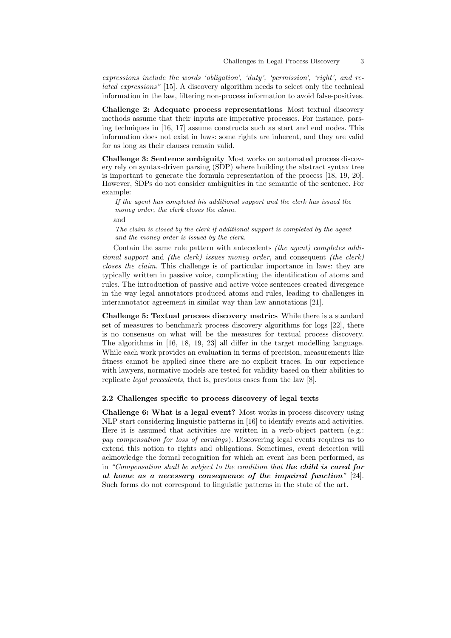expressions include the words 'obligation', 'duty', 'permission', 'right', and related expressions" [15]. A discovery algorithm needs to select only the technical information in the law, filtering non-process information to avoid false-positives.

Challenge 2: Adequate process representations Most textual discovery methods assume that their inputs are imperative processes. For instance, parsing techniques in [16, 17] assume constructs such as start and end nodes. This information does not exist in laws: some rights are inherent, and they are valid for as long as their clauses remain valid.

Challenge 3: Sentence ambiguity Most works on automated process discovery rely on syntax-driven parsing (SDP) where building the abstract syntax tree is important to generate the formula representation of the process [18, 19, 20]. However, SDPs do not consider ambiguities in the semantic of the sentence. For example:

If the agent has completed his additional support and the clerk has issued the money order, the clerk closes the claim.

and

The claim is closed by the clerk if additional support is completed by the agent and the money order is issued by the clerk.

Contain the same rule pattern with antecedents (the agent) completes additional support and (the clerk) issues money order, and consequent (the clerk) closes the claim. This challenge is of particular importance in laws: they are typically written in passive voice, complicating the identification of atoms and rules. The introduction of passive and active voice sentences created divergence in the way legal annotators produced atoms and rules, leading to challenges in interannotator agreement in similar way than law annotations [21].

Challenge 5: Textual process discovery metrics While there is a standard set of measures to benchmark process discovery algorithms for logs [22], there is no consensus on what will be the measures for textual process discovery. The algorithms in [16, 18, 19, 23] all differ in the target modelling language. While each work provides an evaluation in terms of precision, measurements like fitness cannot be applied since there are no explicit traces. In our experience with lawyers, normative models are tested for validity based on their abilities to replicate legal precedents, that is, previous cases from the law [8].

#### 2.2 Challenges specific to process discovery of legal texts

Challenge 6: What is a legal event? Most works in process discovery using NLP start considering linguistic patterns in [16] to identify events and activities. Here it is assumed that activities are written in a verb-object pattern (e.g.: pay compensation for loss of earnings). Discovering legal events requires us to extend this notion to rights and obligations. Sometimes, event detection will acknowledge the formal recognition for which an event has been performed, as in "Compensation shall be subject to the condition that the child is cared for at home as a necessary consequence of the impaired function" [24]. Such forms do not correspond to linguistic patterns in the state of the art.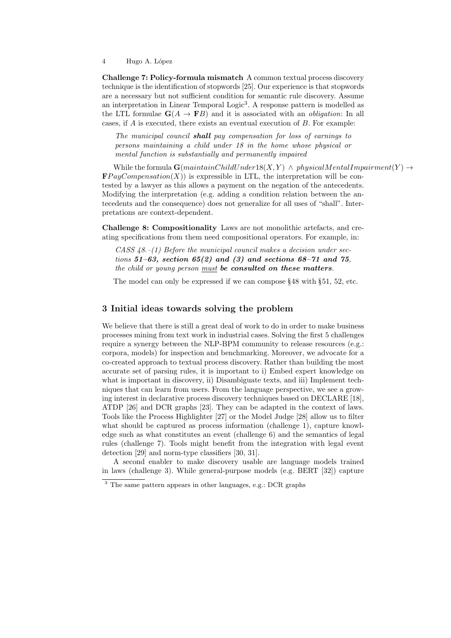4 Hugo A. López

Challenge 7: Policy-formula mismatch A common textual process discovery technique is the identification of stopwords [25]. Our experience is that stopwords are a necessary but not sufficient condition for semantic rule discovery. Assume an interpretation in Linear Temporal Logic<sup>3</sup>. A response pattern is modelled as the LTL formulae  $\mathbf{G}(A \to \mathbf{F}B)$  and it is associated with an *obligation*: In all cases, if  $A$  is executed, there exists an eventual execution of  $B$ . For example:

The municipal council **shall** pay compensation for loss of earnings to persons maintaining a child under 18 in the home whose physical or mental function is substantially and permanently impaired

While the formula  $\mathbf{G}(maintainChildUnder18(X, Y) \wedge physicalMentalImpairment(Y) \rightarrow$  $\mathbf{F}PayCompensation(X)$  is expressible in LTL, the interpretation will be contested by a lawyer as this allows a payment on the negation of the antecedents. Modifying the interpretation (e.g. adding a condition relation between the antecedents and the consequence) does not generalize for all uses of "shall". Interpretations are context-dependent.

Challenge 8: Compositionality Laws are not monolithic artefacts, and creating specifications from them need compositional operators. For example, in:

CASS  $48-(1)$  Before the municipal council makes a decision under sections  $51-63$ , section  $65(2)$  and  $(3)$  and sections  $68-71$  and  $75$ , the child or young person  $must$  be consulted on these matters.

The model can only be expressed if we can compose §48 with §51, 52, etc.

### 3 Initial ideas towards solving the problem

We believe that there is still a great deal of work to do in order to make business processes mining from text work in industrial cases. Solving the first 5 challenges require a synergy between the NLP-BPM community to release resources (e.g.: corpora, models) for inspection and benchmarking. Moreover, we advocate for a co-created approach to textual process discovery. Rather than building the most accurate set of parsing rules, it is important to i) Embed expert knowledge on what is important in discovery, ii) Disambiguate texts, and iii) Implement techniques that can learn from users. From the language perspective, we see a growing interest in declarative process discovery techniques based on DECLARE [18], ATDP [26] and DCR graphs [23]. They can be adapted in the context of laws. Tools like the Process Highlighter [27] or the Model Judge [28] allow us to filter what should be captured as process information (challenge 1), capture knowledge such as what constitutes an event (challenge 6) and the semantics of legal rules (challenge 7). Tools might benefit from the integration with legal event detection [29] and norm-type classifiers [30, 31].

A second enabler to make discovery usable are language models trained in laws (challenge 3). While general-purpose models (e.g. BERT [32]) capture

<sup>&</sup>lt;sup>3</sup> The same pattern appears in other languages, e.g.: DCR graphs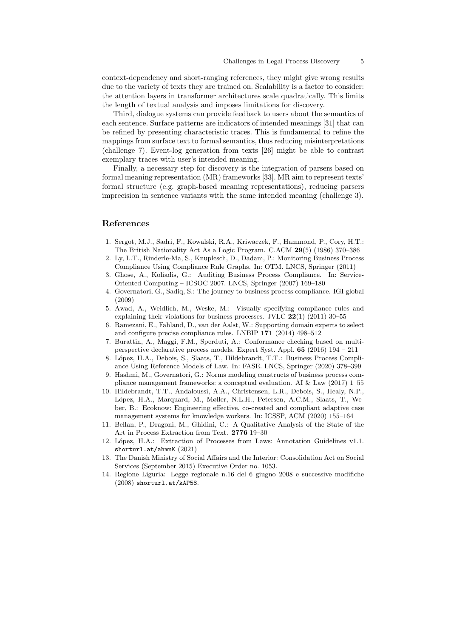context-dependency and short-ranging references, they might give wrong results due to the variety of texts they are trained on. Scalability is a factor to consider: the attention layers in transformer architectures scale quadratically. This limits the length of textual analysis and imposes limitations for discovery.

Third, dialogue systems can provide feedback to users about the semantics of each sentence. Surface patterns are indicators of intended meanings [31] that can be refined by presenting characteristic traces. This is fundamental to refine the mappings from surface text to formal semantics, thus reducing misinterpretations (challenge 7). Event-log generation from texts [26] might be able to contrast exemplary traces with user's intended meaning.

Finally, a necessary step for discovery is the integration of parsers based on formal meaning representation (MR) frameworks [33]. MR aim to represent texts' formal structure (e.g. graph-based meaning representations), reducing parsers imprecision in sentence variants with the same intended meaning (challenge 3).

## References

- 1. Sergot, M.J., Sadri, F., Kowalski, R.A., Kriwaczek, F., Hammond, P., Cory, H.T.: The British Nationality Act As a Logic Program. C.ACM 29(5) (1986) 370–386
- 2. Ly, L.T., Rinderle-Ma, S., Knuplesch, D., Dadam, P.: Monitoring Business Process Compliance Using Compliance Rule Graphs. In: OTM. LNCS, Springer (2011)
- 3. Ghose, A., Koliadis, G.: Auditing Business Process Compliance. In: Service-Oriented Computing – ICSOC 2007. LNCS, Springer (2007) 169–180
- 4. Governatori, G., Sadiq, S.: The journey to business process compliance. IGI global (2009)
- 5. Awad, A., Weidlich, M., Weske, M.: Visually specifying compliance rules and explaining their violations for business processes. JVLC  $22(1)$   $(2011)$  30–55
- 6. Ramezani, E., Fahland, D., van der Aalst, W.: Supporting domain experts to select and configure precise compliance rules. LNBIP 171 (2014) 498–512
- 7. Burattin, A., Maggi, F.M., Sperduti, A.: Conformance checking based on multiperspective declarative process models. Expert Syst. Appl. 65 (2016) 194 – 211
- 8. López, H.A., Debois, S., Slaats, T., Hildebrandt, T.T.: Business Process Compliance Using Reference Models of Law. In: FASE. LNCS, Springer (2020) 378–399
- 9. Hashmi, M., Governatori, G.: Norms modeling constructs of business process compliance management frameworks: a conceptual evaluation. AI  $&$  Law (2017) 1–55
- 10. Hildebrandt, T.T., Andaloussi, A.A., Christensen, L.R., Debois, S., Healy, N.P., López, H.A., Marquard, M., Møller, N.L.H., Petersen, A.C.M., Slaats, T., Weber, B.: Ecoknow: Engineering effective, co-created and compliant adaptive case management systems for knowledge workers. In: ICSSP, ACM (2020) 155–164
- 11. Bellan, P., Dragoni, M., Ghidini, C.: A Qualitative Analysis of the State of the Art in Process Extraction from Text. 2776 19–30
- 12. López, H.A.: Extraction of Processes from Laws: Annotation Guidelines v1.1. shorturl.at/ahmnK (2021)
- 13. The Danish Ministry of Social Affairs and the Interior: Consolidation Act on Social Services (September 2015) Executive Order no. 1053.
- 14. Regione Liguria: Legge regionale n.16 del 6 giugno 2008 e successive modifiche (2008) shorturl.at/kAP58.